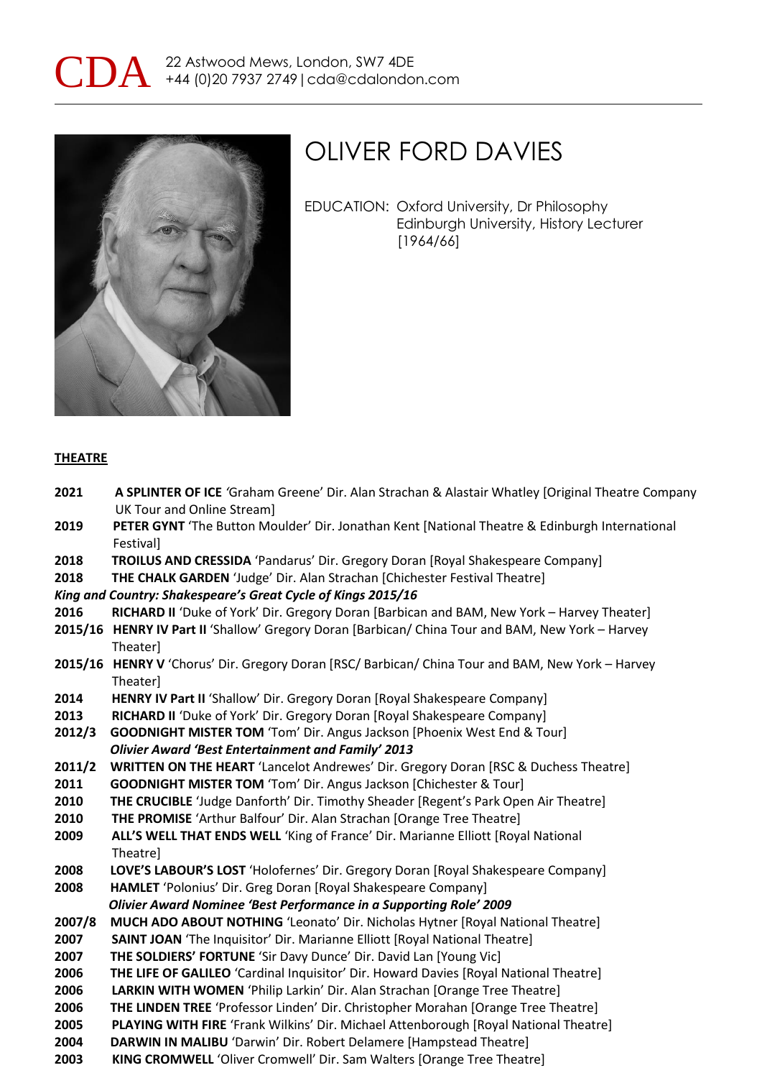



EDUCATION: Oxford University, Dr Philosophy Edinburgh University, History Lecturer [1964/66]

#### **THEATRE**

- **2021****A SPLINTER OF ICE** *'*Graham Greene' Dir. Alan Strachan & Alastair Whatley [Original Theatre Company UK Tour and Online Stream]
- **2019 PETER GYNT** 'The Button Moulder' Dir. Jonathan Kent [National Theatre & Edinburgh International Festival]
- **2018 TROILUS AND CRESSIDA** 'Pandarus' Dir. Gregory Doran [Royal Shakespeare Company]
- **2018 THE CHALK GARDEN** 'Judge' Dir. Alan Strachan [Chichester Festival Theatre]

*King and Country: Shakespeare's Great Cycle of Kings 2015/16*

- 2016 RICHARD II 'Duke of York' Dir. Gregory Doran [Barbican and BAM, New York Harvey Theater]
- **2015/16 HENRY IV Part II** 'Shallow' Gregory Doran [Barbican/ China Tour and BAM, New York Harvey Theater]
- **2015/16 HENRY V** 'Chorus' Dir. Gregory Doran [RSC/ Barbican/ China Tour and BAM, New York Harvey Theater]
- **2014 HENRY IV Part II** 'Shallow' Dir. Gregory Doran [Royal Shakespeare Company]
- 2013 RICHARD II 'Duke of York' Dir. Gregory Doran [Royal Shakespeare Company]
- **2012/3 GOODNIGHT MISTER TOM** 'Tom' Dir. Angus Jackson [Phoenix West End & Tour] *Olivier Award 'Best Entertainment and Family' 2013*
- **2011/2 WRITTEN ON THE HEART** 'Lancelot Andrewes' Dir. Gregory Doran [RSC & Duchess Theatre]
- **2011 GOODNIGHT MISTER TOM** 'Tom' Dir. Angus Jackson [Chichester & Tour]
- **2010 THE CRUCIBLE** 'Judge Danforth' Dir. Timothy Sheader [Regent's Park Open Air Theatre]
- **2010 THE PROMISE** 'Arthur Balfour' Dir. Alan Strachan [Orange Tree Theatre]
- **2009 ALL'S WELL THAT ENDS WELL** 'King of France' Dir. Marianne Elliott [Royal National Theatre]
- **2008 LOVE'S LABOUR'S LOST** 'Holofernes' Dir. Gregory Doran [Royal Shakespeare Company]
- **2008 HAMLET** 'Polonius' Dir. Greg Doran [Royal Shakespeare Company]

*Olivier Award Nominee 'Best Performance in a Supporting Role' 2009*

- **2007/8 MUCH ADO ABOUT NOTHING** 'Leonato' Dir. Nicholas Hytner [Royal National Theatre]
- **2007 SAINT JOAN** 'The Inquisitor' Dir. Marianne Elliott [Royal National Theatre]
- **2007 THE SOLDIERS' FORTUNE** 'Sir Davy Dunce' Dir. David Lan [Young Vic]
- **2006 THE LIFE OF GALILEO** 'Cardinal Inquisitor' Dir. Howard Davies [Royal National Theatre]
- **2006 LARKIN WITH WOMEN** 'Philip Larkin' Dir. Alan Strachan [Orange Tree Theatre]
- **2006 THE LINDEN TREE** 'Professor Linden' Dir. Christopher Morahan [Orange Tree Theatre]
- **2005 PLAYING WITH FIRE** 'Frank Wilkins' Dir. Michael Attenborough [Royal National Theatre]
- **2004 DARWIN IN MALIBU** 'Darwin' Dir. Robert Delamere [Hampstead Theatre]
- **2003 KING CROMWELL** 'Oliver Cromwell' Dir. Sam Walters [Orange Tree Theatre]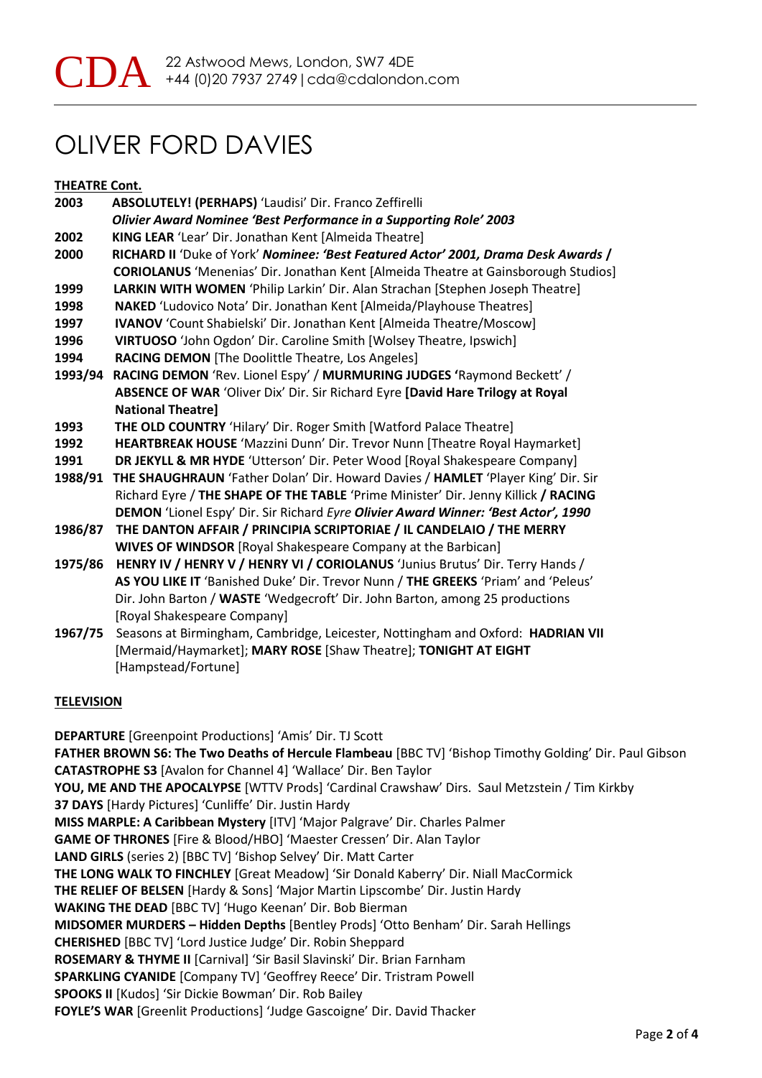#### **THEATRE Cont.**

| 2003    | ABSOLUTELY! (PERHAPS) 'Laudisi' Dir. Franco Zeffirelli                                    |
|---------|-------------------------------------------------------------------------------------------|
|         | <b>Olivier Award Nominee 'Best Performance in a Supporting Role' 2003</b>                 |
| 2002    | KING LEAR 'Lear' Dir. Jonathan Kent [Almeida Theatre]                                     |
| 2000    | RICHARD II 'Duke of York' Nominee: 'Best Featured Actor' 2001, Drama Desk Awards /        |
|         | <b>CORIOLANUS</b> 'Menenias' Dir. Jonathan Kent [Almeida Theatre at Gainsborough Studios] |
| 1999    | LARKIN WITH WOMEN 'Philip Larkin' Dir. Alan Strachan [Stephen Joseph Theatre]             |
| 1998    | NAKED 'Ludovico Nota' Dir. Jonathan Kent [Almeida/Playhouse Theatres]                     |
| 1997    | IVANOV 'Count Shabielski' Dir. Jonathan Kent [Almeida Theatre/Moscow]                     |
| 1996    | VIRTUOSO 'John Ogdon' Dir. Caroline Smith [Wolsey Theatre, Ipswich]                       |
| 1994    | RACING DEMON [The Doolittle Theatre, Los Angeles]                                         |
| 1993/94 | RACING DEMON 'Rev. Lionel Espy' / MURMURING JUDGES 'Raymond Beckett' /                    |
|         | ABSENCE OF WAR 'Oliver Dix' Dir. Sir Richard Eyre [David Hare Trilogy at Royal            |
|         | <b>National Theatrel</b>                                                                  |
| 1993    | THE OLD COUNTRY 'Hilary' Dir. Roger Smith [Watford Palace Theatre]                        |
| 1992    | HEARTBREAK HOUSE 'Mazzini Dunn' Dir. Trevor Nunn [Theatre Royal Haymarket]                |
| 1991    | DR JEKYLL & MR HYDE 'Utterson' Dir. Peter Wood [Royal Shakespeare Company]                |
| 1988/91 | THE SHAUGHRAUN 'Father Dolan' Dir. Howard Davies / HAMLET 'Player King' Dir. Sir          |
|         | Richard Eyre / THE SHAPE OF THE TABLE 'Prime Minister' Dir. Jenny Killick / RACING        |
|         | DEMON 'Lionel Espy' Dir. Sir Richard Eyre Olivier Award Winner: 'Best Actor', 1990        |
| 1986/87 | THE DANTON AFFAIR / PRINCIPIA SCRIPTORIAE / IL CANDELAIO / THE MERRY                      |
|         | <b>WIVES OF WINDSOR</b> [Royal Shakespeare Company at the Barbican]                       |
| 1975/86 | HENRY IV / HENRY V / HENRY VI / CORIOLANUS 'Junius Brutus' Dir. Terry Hands /             |
|         | AS YOU LIKE IT 'Banished Duke' Dir. Trevor Nunn / THE GREEKS 'Priam' and 'Peleus'         |
|         | Dir. John Barton / WASTE 'Wedgecroft' Dir. John Barton, among 25 productions              |
|         | [Royal Shakespeare Company]                                                               |
| 1967/75 | Seasons at Birmingham, Cambridge, Leicester, Nottingham and Oxford: HADRIAN VII           |
|         | [Mermaid/Haymarket]; MARY ROSE [Shaw Theatre]; TONIGHT AT EIGHT                           |
|         | [Hampstead/Fortune]                                                                       |

#### **TELEVISION**

**DEPARTURE** [Greenpoint Productions] 'Amis' Dir. TJ Scott **FATHER BROWN S6: The Two Deaths of Hercule Flambeau** [BBC TV] 'Bishop Timothy Golding' Dir. Paul Gibson **CATASTROPHE S3** [Avalon for Channel 4] 'Wallace' Dir. Ben Taylor **YOU, ME AND THE APOCALYPSE** [WTTV Prods] 'Cardinal Crawshaw' Dirs. Saul Metzstein / Tim Kirkby **37 DAYS** [Hardy Pictures] 'Cunliffe' Dir. Justin Hardy **MISS MARPLE: A Caribbean Mystery** [ITV] 'Major Palgrave' Dir. Charles Palmer **GAME OF THRONES** [Fire & Blood/HBO] 'Maester Cressen' Dir. Alan Taylor **LAND GIRLS** (series 2) [BBC TV] 'Bishop Selvey' Dir. Matt Carter **THE LONG WALK TO FINCHLEY** [Great Meadow] 'Sir Donald Kaberry' Dir. Niall MacCormick **THE RELIEF OF BELSEN** [Hardy & Sons] 'Major Martin Lipscombe' Dir. Justin Hardy **WAKING THE DEAD** [BBC TV] 'Hugo Keenan' Dir. Bob Bierman **MIDSOMER MURDERS – Hidden Depths** [Bentley Prods] 'Otto Benham' Dir. Sarah Hellings **CHERISHED** [BBC TV] 'Lord Justice Judge' Dir. Robin Sheppard **ROSEMARY & THYME II** [Carnival] 'Sir Basil Slavinski' Dir. Brian Farnham **SPARKLING CYANIDE** [Company TV] 'Geoffrey Reece' Dir. Tristram Powell **SPOOKS II** [Kudos] 'Sir Dickie Bowman' Dir. Rob Bailey **FOYLE'S WAR** [Greenlit Productions] 'Judge Gascoigne' Dir. David Thacker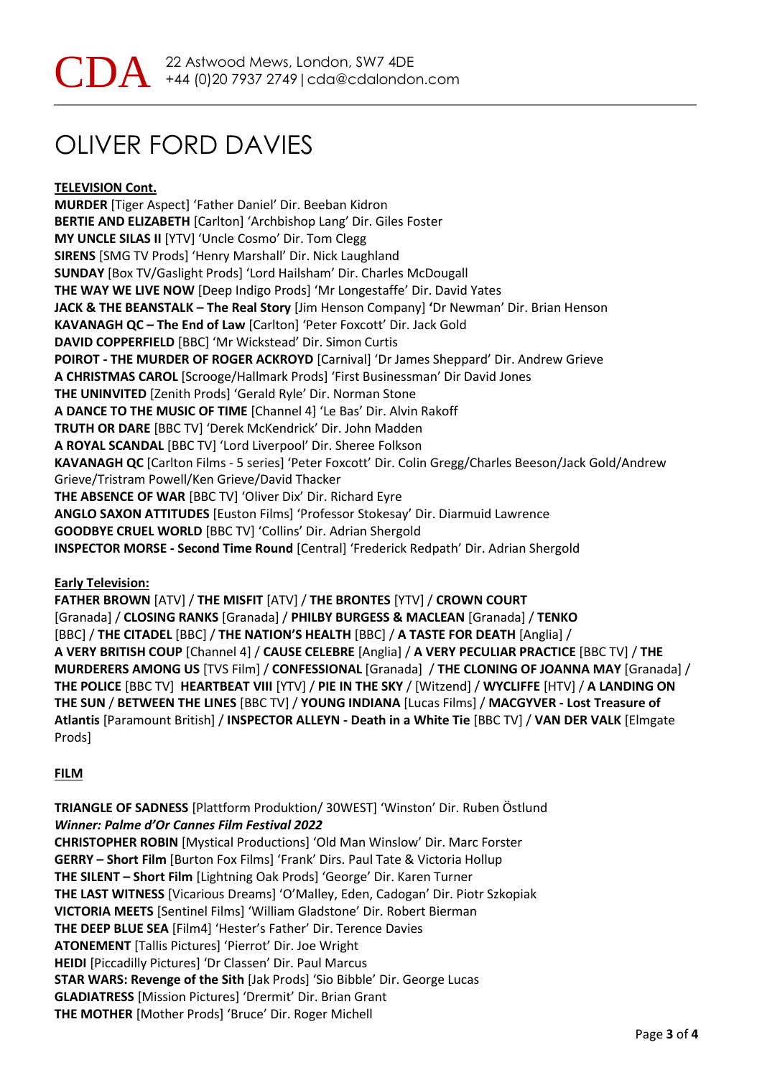**TELEVISION Cont.**

**MURDER** [Tiger Aspect] 'Father Daniel' Dir. Beeban Kidron **BERTIE AND ELIZABETH** [Carlton] 'Archbishop Lang' Dir. Giles Foster **MY UNCLE SILAS II** [YTV] 'Uncle Cosmo' Dir. Tom Clegg **SIRENS** [SMG TV Prods] 'Henry Marshall' Dir. Nick Laughland **SUNDAY** [Box TV/Gaslight Prods] 'Lord Hailsham' Dir. Charles McDougall **THE WAY WE LIVE NOW** [Deep Indigo Prods] 'Mr Longestaffe' Dir. David Yates **JACK & THE BEANSTALK – The Real Story** [Jim Henson Company] **'**Dr Newman' Dir. Brian Henson **KAVANAGH QC – The End of Law** [Carlton] 'Peter Foxcott' Dir. Jack Gold **DAVID COPPERFIELD** [BBC] 'Mr Wickstead' Dir. Simon Curtis **POIROT - THE MURDER OF ROGER ACKROYD** [Carnival] 'Dr James Sheppard' Dir. Andrew Grieve **A CHRISTMAS CAROL** [Scrooge/Hallmark Prods] 'First Businessman' Dir David Jones **THE UNINVITED** [Zenith Prods] 'Gerald Ryle' Dir. Norman Stone **A DANCE TO THE MUSIC OF TIME** [Channel 4] 'Le Bas' Dir. Alvin Rakoff **TRUTH OR DARE** [BBC TV] 'Derek McKendrick' Dir. John Madden **A ROYAL SCANDAL** [BBC TV] 'Lord Liverpool' Dir. Sheree Folkson **KAVANAGH QC** [Carlton Films - 5 series] 'Peter Foxcott' Dir. Colin Gregg/Charles Beeson/Jack Gold/Andrew Grieve/Tristram Powell/Ken Grieve/David Thacker **THE ABSENCE OF WAR** [BBC TV] 'Oliver Dix' Dir. Richard Eyre **ANGLO SAXON ATTITUDES** [Euston Films] 'Professor Stokesay' Dir. Diarmuid Lawrence **GOODBYE CRUEL WORLD** [BBC TV] 'Collins' Dir. Adrian Shergold **INSPECTOR MORSE - Second Time Round** [Central] 'Frederick Redpath' Dir. Adrian Shergold

### **Early Television:**

**FATHER BROWN** [ATV] / **THE MISFIT** [ATV] / **THE BRONTES** [YTV] / **CROWN COURT** [Granada] / **CLOSING RANKS** [Granada] / **PHILBY BURGESS & MACLEAN** [Granada] / **TENKO**  [BBC] / **THE CITADEL** [BBC] / **THE NATION'S HEALTH** [BBC] / **A TASTE FOR DEATH** [Anglia] / **A VERY BRITISH COUP** [Channel 4] / **CAUSE CELEBRE** [Anglia] / **A VERY PECULIAR PRACTICE** [BBC TV] / **THE MURDERERS AMONG US** [TVS Film] / **CONFESSIONAL** [Granada] / **THE CLONING OF JOANNA MAY** [Granada] / **THE POLICE** [BBC TV] **HEARTBEAT VIII** [YTV] / **PIE IN THE SKY** / [Witzend] / **WYCLIFFE** [HTV] / **A LANDING ON THE SUN** / **BETWEEN THE LINES** [BBC TV] / **YOUNG INDIANA** [Lucas Films] / **MACGYVER - Lost Treasure of Atlantis** [Paramount British] / **INSPECTOR ALLEYN - Death in a White Tie** [BBC TV] / **VAN DER VALK** [Elmgate Prods]

### **FILM**

**TRIANGLE OF SADNESS** [Plattform Produktion/ 30WEST] 'Winston' Dir. Ruben Östlund *Winner: Palme d'Or Cannes Film Festival 2022* **CHRISTOPHER ROBIN** [Mystical Productions] 'Old Man Winslow' Dir. Marc Forster **GERRY – Short Film** [Burton Fox Films] 'Frank' Dirs. Paul Tate & Victoria Hollup **THE SILENT – Short Film** [Lightning Oak Prods] 'George' Dir. Karen Turner **THE LAST WITNESS** [Vicarious Dreams] 'O'Malley, Eden, Cadogan' Dir. Piotr Szkopiak **VICTORIA MEETS** [Sentinel Films] 'William Gladstone' Dir. Robert Bierman **THE DEEP BLUE SEA** [Film4] 'Hester's Father' Dir. Terence Davies **ATONEMENT** [Tallis Pictures] 'Pierrot' Dir. Joe Wright **HEIDI** [Piccadilly Pictures] 'Dr Classen' Dir. Paul Marcus **STAR WARS: Revenge of the Sith** [Jak Prods] 'Sio Bibble' Dir. George Lucas **GLADIATRESS** [Mission Pictures] 'Drermit' Dir. Brian Grant **THE MOTHER** [Mother Prods] 'Bruce' Dir. Roger Michell